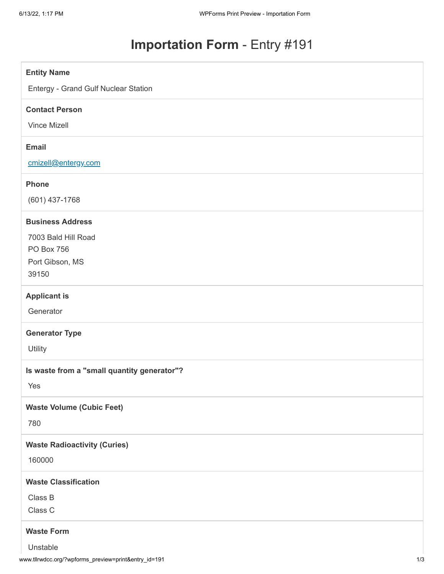# **Importation Form** - Entry #191

| <b>Entity Name</b>                          |
|---------------------------------------------|
| Entergy - Grand Gulf Nuclear Station        |
| <b>Contact Person</b>                       |
| Vince Mizell                                |
| <b>Email</b>                                |
|                                             |
| cmizell@entergy.com                         |
| <b>Phone</b>                                |
| (601) 437-1768                              |
| <b>Business Address</b>                     |
| 7003 Bald Hill Road                         |
| PO Box 756                                  |
| Port Gibson, MS                             |
| 39150                                       |
| <b>Applicant is</b>                         |
| Generator                                   |
| <b>Generator Type</b>                       |
| Utility                                     |
| Is waste from a "small quantity generator"? |
| Yes                                         |
|                                             |
| <b>Waste Volume (Cubic Feet)</b>            |
| 780                                         |
| <b>Waste Radioactivity (Curies)</b>         |
| 160000                                      |
| <b>Waste Classification</b>                 |
| Class B                                     |
| Class C                                     |
| <b>Waste Form</b>                           |
| Unstable                                    |
|                                             |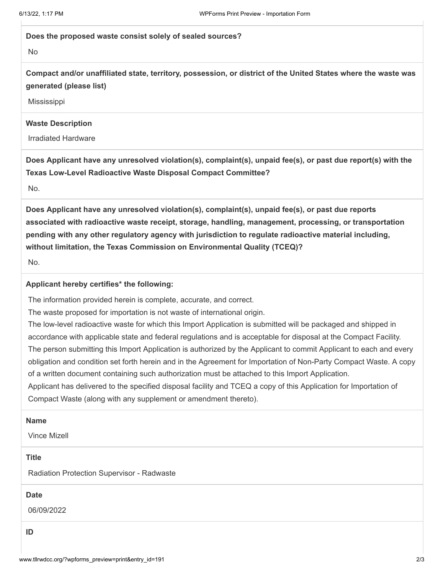### **Does the proposed waste consist solely of sealed sources?**

No

**Compact and/or unaffiliated state, territory, possession, or district of the United States where the waste was generated (please list)**

**Mississippi** 

## **Waste Description**

Irradiated Hardware

**Does Applicant have any unresolved violation(s), complaint(s), unpaid fee(s), or past due report(s) with the Texas Low-Level Radioactive Waste Disposal Compact Committee?**

No.

**Does Applicant have any unresolved violation(s), complaint(s), unpaid fee(s), or past due reports associated with radioactive waste receipt, storage, handling, management, processing, or transportation pending with any other regulatory agency with jurisdiction to regulate radioactive material including, without limitation, the Texas Commission on Environmental Quality (TCEQ)?**

No.

## **Applicant hereby certifies\* the following:**

The information provided herein is complete, accurate, and correct.

The waste proposed for importation is not waste of international origin.

The low-level radioactive waste for which this Import Application is submitted will be packaged and shipped in accordance with applicable state and federal regulations and is acceptable for disposal at the Compact Facility. The person submitting this Import Application is authorized by the Applicant to commit Applicant to each and every obligation and condition set forth herein and in the Agreement for Importation of Non-Party Compact Waste. A copy of a written document containing such authorization must be attached to this Import Application. Applicant has delivered to the specified disposal facility and TCEQ a copy of this Application for Importation of

Compact Waste (along with any supplement or amendment thereto).

### **Name**

Vince Mizell

#### **Title**

Radiation Protection Supervisor - Radwaste

## **Date**

06/09/2022

**ID**